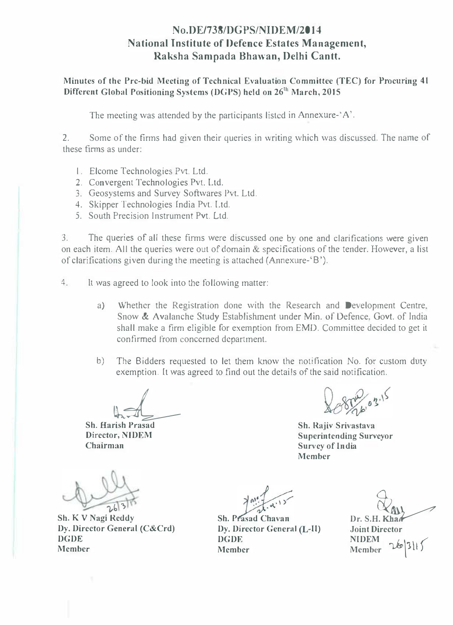### No.DE/738/DGPS/NIDEM/2014 National Institute of Defence Estates Management, Raksha Sampada Bhawan, Delhi Cant!.

Minutes of the Prc-bid Meeting of Technical Evaluation Committee (TEC) for Procuring 41 Different Global Positioning Systems (DGPS) held on  $26<sup>th</sup>$  March, 2015

The meeting was attended by the participants listed in Annexure-' A'.

2. Some of the firms had given their queries in writing which was discussed. The name of these firms as under:

- I. Elcome Technologies Pvc Ltd.
- 2. Convergent Technologies Pvt. Ltd.
- 3. Geosystems and Survey Softwares Pvt. Ltd.
- 4. Skipper Technologies India Pvt. Ltd.
- 5. South Precision Instrument Pvt. Ltd.

3. The queries of all these firms were discussed one by one and clarifications were given on each item. All the queries were out of domain & specifications of the tender. However, a list of clarifications given during the meeting is attached (Annexure-'B').

4. It was agreed to look into the following matter:

- a) Whether the Registration done with the Research and Development Centre. Snow & Avalanche Study Establishment under Min. of Defence, Govt. of India shall make a firm eligible for exemption from EMD. Committee decided to get it confirmed from concerned department.
- b) The Bidders requested to let them know the notilication No. for custom duty exemption. It was agreed to find out the details of the said notification.

 $\frac{1}{2}$ 

Sh. Harish Prasad Director, NIDEM Chairman

 $26310$ 

Sh. K V Nagi Reddy Dy. Director General (C&Crd) DGDE Member

 $\left\{\n\begin{array}{c}\n\sqrt{n!} \\
\hline\n\sqrt{n!}\n\end{array}\n\right\}$ <br>Sh. Prasad Chavan Dy. Director General (L-II) DGDE Member

 $\bigotimes_{\text{div}}$ 

Joint Director NlDEM **Member** 

Sh. Rajiv Srivastava Superintending Surveyor

Survey of India

Member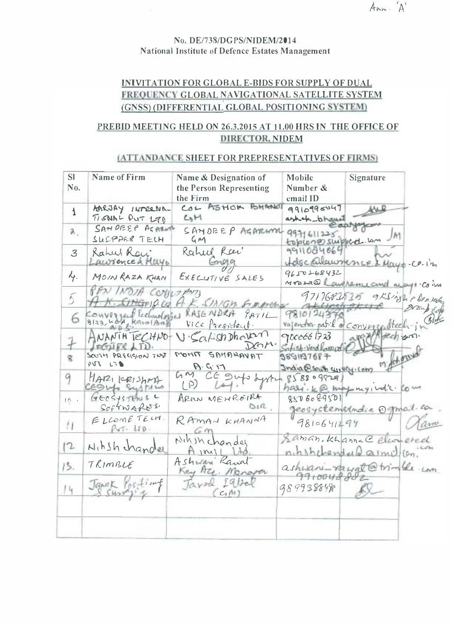## $Ann. A'$

### No. DE/738/DGPS/NIDEM/2014 National Institute of Defence Estates Management

### INIVITATlON FOR GLOBAL E-BIDS FOR SUPPLY OF DUAL FREQUENCY GLOBAL NAVIGATIONAL SATELLITE SYSTEM (GNSS) (DIFFERENTIAL GLOBAL POSITIONING SYSTEM)

### PREBID MEETING HELD ON 26.3.2015 AT 11.00 HRS IN THE OFFICE OF DIRECTOR, NIDEM

### (ATTANDANCE SHEET FOR PREPRESENTATIVES OF FIRNIS)

| SI.<br>No.              | Name of Firm                             | Name & Designation of<br>the Person Representing | Mobile<br>Signature<br>Number &                       |
|-------------------------|------------------------------------------|--------------------------------------------------|-------------------------------------------------------|
|                         |                                          | the Firm                                         | email ID                                              |
| $\mathbf{\overline{1}}$ | AARJAY INTERNAL<br>TISNAL PUT L70        | COL ASHOR BHANDI<br>M                            | 9910990047<br>ashak-bhano                             |
| 2.                      | SANDEEP AGAINM<br>SLEPPER TELH           | SAMDEEP AGARAMI<br>GM                            | 9971611225<br>JM<br>topioneswippod un                 |
| $\mathcal{Z}$           | Rahut Ray<br>Lawrence & Mayo             | Rahul Rai<br>Gnn99                               | 9911084060<br>Idecallemmence & Mayo.co.in             |
| Y.                      | MOIN RAZA KHAN                           | EXECUTIVE SALES                                  | 9650268432<br>Mraza@ Lawilemercund mayor Coin         |
| $\overline{\lambda}_j$  | PAN INDIA CONTLANTS<br>$\pi$ . Stranje G | K. SINGH. SIMMONS                                | 9717682525 9KSinghebound                              |
| 6                       | Converged Technologies                   | KAJENDRA<br>PATIL<br>Vice President.             | 9810124376<br>Broke<br>vajentia paril e convergentech |
|                         | $NANIH$ $ICHVO-$<br>IFGJIFSLTD.          | V. Satish Dhavar<br>$DOM*$                       | 9000661723<br>apen<br>Satish-Verd Laminle             |
| g.                      | SOUTH PRECISION INST<br>PUS LSB          | POTIT SAMARAYAT<br>P. G.11                       | 9891197687<br>mychony<br>India @Seuth survey. Com     |
| 9                       | MARICRISHMA<br>CESUS Systems             | GM<br>CE Sup dyrtu<br>$($ P)                     | 858809829<br>hasi. ke, max my, vd's. Com              |
| 10.1                    | GEOSYSTEMS <sup>C</sup><br>SOFTWARDS.    | ARIUN MEHROTRA<br>Sin                            | 8506089501<br>geosystemsindia Ogmail.com              |
| П                       | ELLOME TELM.<br>$PvT - LTD$ .            | RAMAN KHANNA<br>60r                              | 9810641294                                            |
| 12                      | Nihsh hander                             | NIA sh chander<br>$A$ $M1$                       | Laman, Khamac Elemeted<br>nihshchanderd armidian.     |
| 15.                     | TRIMBLE                                  | Ashway Raval<br>Key Ate Manapa                   | ashwani-rawat@trimble com<br>9910048882               |
| 14                      | Janak Posting                            | Tavel Iql20<br>$C_1 M$                           | 9899388498                                            |
|                         |                                          |                                                  |                                                       |
|                         |                                          |                                                  |                                                       |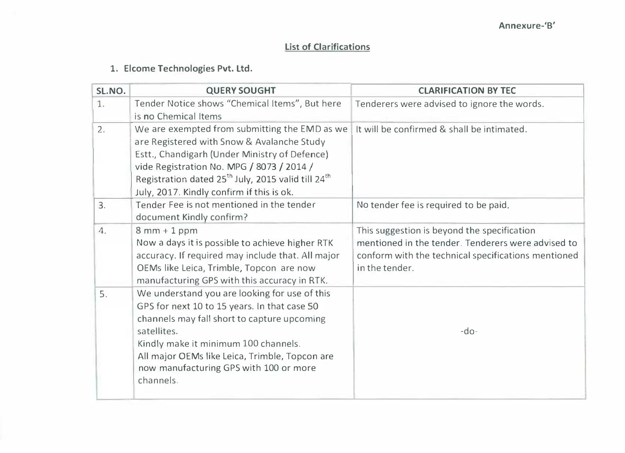## List of Clarifications

## 1. Elcome Technologies Pvt. Ltd.

| SL.NO. | <b>QUERY SOUGHT</b>                                                                                                                                                                                                                                                                                                  | <b>CLARIFICATION BY TEC</b>                                                                                                                                                |  |
|--------|----------------------------------------------------------------------------------------------------------------------------------------------------------------------------------------------------------------------------------------------------------------------------------------------------------------------|----------------------------------------------------------------------------------------------------------------------------------------------------------------------------|--|
| 1.     | Tender Notice shows "Chemical Items", But here<br>is no Chemical Items                                                                                                                                                                                                                                               | Tenderers were advised to ignore the words.                                                                                                                                |  |
| 2.     | We are exempted from submitting the EMD as we<br>are Registered with Snow & Avalanche Study<br>Estt., Chandigarh (Under Ministry of Defence)<br>vide Registration No. MPG / 8073 / 2014 /<br>Registration dated 25 <sup>th</sup> July, 2015 valid till 24 <sup>th</sup><br>July, 2017. Kindly confirm if this is ok. | It will be confirmed & shall be intimated.                                                                                                                                 |  |
| 3.     | Tender Fee is not mentioned in the tender<br>document Kindly confirm?                                                                                                                                                                                                                                                | No tender fee is required to be paid.                                                                                                                                      |  |
| 4.     | $8mm + 1 ppm$<br>Now a days it is possible to achieve higher RTK<br>accuracy. If required may include that. All major<br>OEMs like Leica, Trimble, Topcon are now<br>manufacturing GPS with this accuracy in RTK.                                                                                                    | This suggestion is beyond the specification<br>mentioned in the tender. Tenderers were advised to<br>conform with the technical specifications mentioned<br>in the tender. |  |
| 5.     | We understand you are looking for use of this<br>GPS for next 10 to 15 years. In that case 50<br>channels may fall short to capture upcoming<br>satellites.<br>Kindly make it minimum 100 channels.<br>All major OEMs like Leica, Trimble, Topcon are<br>now manufacturing GPS with 100 or more<br>channels.         | $-do-$                                                                                                                                                                     |  |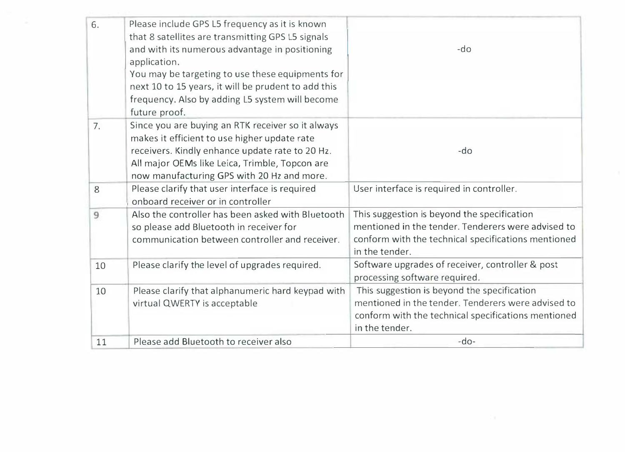| 6. | Please include GPS L5 frequency as it is known<br>that 8 satellites are transmitting GPS L5 signals<br>and with its numerous advantage in positioning<br>application.<br>You may be targeting to use these equipments for<br>next 10 to 15 years, it will be prudent to add this<br>frequency. Also by adding L5 system will become<br>future proof. | -do                                                                                                                                                                        |
|----|------------------------------------------------------------------------------------------------------------------------------------------------------------------------------------------------------------------------------------------------------------------------------------------------------------------------------------------------------|----------------------------------------------------------------------------------------------------------------------------------------------------------------------------|
| 7. | Since you are buying an RTK receiver so it always<br>makes it efficient to use higher update rate<br>receivers. Kindly enhance update rate to 20 Hz.<br>All major OEMs like Leica, Trimble, Topcon are<br>now manufacturing GPS with 20 Hz and more.                                                                                                 | $-do$                                                                                                                                                                      |
| 8  | Please clarify that user interface is required<br>onboard receiver or in controller                                                                                                                                                                                                                                                                  | User interface is required in controller.                                                                                                                                  |
| 9  | Also the controller has been asked with Bluetooth<br>so please add Bluetooth in receiver for<br>communication between controller and receiver.                                                                                                                                                                                                       | This suggestion is beyond the specification<br>mentioned in the tender. Tenderers were advised to<br>conform with the technical specifications mentioned<br>in the tender. |
| 10 | Please clarify the level of upgrades required.                                                                                                                                                                                                                                                                                                       | Software upgrades of receiver, controller & post<br>processing software required.                                                                                          |
| 10 | Please clarify that alphanumeric hard keypad with<br>virtual QWERTY is acceptable                                                                                                                                                                                                                                                                    | This suggestion is beyond the specification<br>mentioned in the tender. Tenderers were advised to<br>conform with the technical specifications mentioned<br>in the tender. |
| 11 | Please add Bluetooth to receiver also                                                                                                                                                                                                                                                                                                                | $-do-$                                                                                                                                                                     |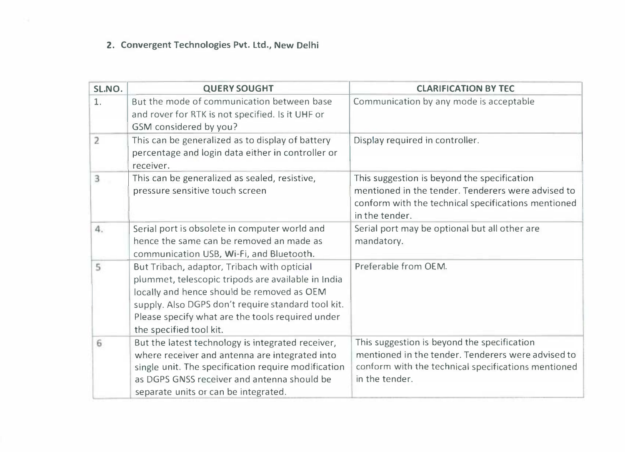## 2. Convergent Technologies Pvt. Ltd., New Delhi

| SL.NO.         | <b>QUERY SOUGHT</b>                                                                                                                                                                                                                                                                  | <b>CLARIFICATION BY TEC</b>                                                                                                                                                |
|----------------|--------------------------------------------------------------------------------------------------------------------------------------------------------------------------------------------------------------------------------------------------------------------------------------|----------------------------------------------------------------------------------------------------------------------------------------------------------------------------|
| 1.             | But the mode of communication between base<br>and rover for RTK is not specified. Is it UHF or<br>GSM considered by you?                                                                                                                                                             | Communication by any mode is acceptable                                                                                                                                    |
| $\overline{2}$ | This can be generalized as to display of battery<br>percentage and login data either in controller or<br>receiver.                                                                                                                                                                   | Display required in controller.                                                                                                                                            |
| 3              | This can be generalized as sealed, resistive,<br>pressure sensitive touch screen                                                                                                                                                                                                     | This suggestion is beyond the specification<br>mentioned in the tender. Tenderers were advised to<br>conform with the technical specifications mentioned<br>in the tender. |
| 4.             | Serial port is obsolete in computer world and<br>hence the same can be removed an made as<br>communication USB, Wi-Fi, and Bluetooth.                                                                                                                                                | Serial port may be optional but all other are<br>mandatory.                                                                                                                |
| 5              | But Tribach, adaptor, Tribach with opticial<br>plummet, telescopic tripods are available in India<br>locally and hence should be removed as OEM<br>supply. Also DGPS don't require standard tool kit.<br>Please specify what are the tools required under<br>the specified tool kit. | Preferable from OEM.                                                                                                                                                       |
| 6              | But the latest technology is integrated receiver,<br>where receiver and antenna are integrated into<br>single unit. The specification require modification<br>as DGPS GNSS receiver and antenna should be<br>separate units or can be integrated.                                    | This suggestion is beyond the specification<br>mentioned in the tender. Tenderers were advised to<br>conform with the technical specifications mentioned<br>in the tender. |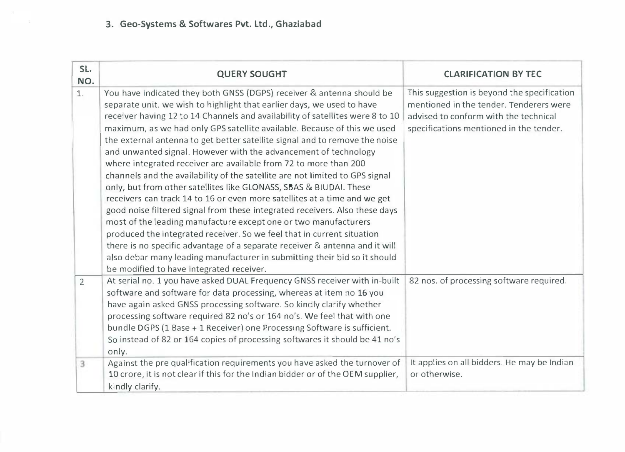## 3. Geo-Systems & Softwares Pvt. Ltd., Ghaziabad

| SL.<br>NO.     | <b>QUERY SOUGHT</b>                                                                                                                                                                                                                                                                                                                                                                                                                                                                                                                                                                                                                                                                                                                                                                                                                                                                                                                                                                                                                                                                                                                                                                                       | <b>CLARIFICATION BY TEC</b>                                                                                                                                                |
|----------------|-----------------------------------------------------------------------------------------------------------------------------------------------------------------------------------------------------------------------------------------------------------------------------------------------------------------------------------------------------------------------------------------------------------------------------------------------------------------------------------------------------------------------------------------------------------------------------------------------------------------------------------------------------------------------------------------------------------------------------------------------------------------------------------------------------------------------------------------------------------------------------------------------------------------------------------------------------------------------------------------------------------------------------------------------------------------------------------------------------------------------------------------------------------------------------------------------------------|----------------------------------------------------------------------------------------------------------------------------------------------------------------------------|
| 1.             | You have indicated they both GNSS (DGPS) receiver & antenna should be<br>separate unit. we wish to highlight that earlier days, we used to have<br>receiver having 12 to 14 Channels and availability of satellites were 8 to 10<br>maximum, as we had only GPS satellite available. Because of this we used<br>the external antenna to get better satellite signal and to remove the noise<br>and unwanted signal. However with the advancement of technology<br>where integrated receiver are available from 72 to more than 200<br>channels and the availability of the satellite are not limited to GPS signal<br>only, but from other satellites like GLONASS, SBAS & BIUDAI. These<br>receivers can track 14 to 16 or even more satellites at a time and we get<br>good noise filtered signal from these integrated receivers. Also these days<br>most of the leading manufacture except one or two manufacturers<br>produced the integrated receiver. So we feel that in current situation<br>there is no specific advantage of a separate receiver & antenna and it will<br>also debar many leading manufacturer in submitting their bid so it should<br>be modified to have integrated receiver. | This suggestion is beyond the specification<br>mentioned in the tender. Tenderers were<br>advised to conform with the technical<br>specifications mentioned in the tender. |
| $\overline{2}$ | At serial no. 1 you have asked DUAL Frequency GNSS receiver with in-built<br>software and software for data processing, whereas at item no 16 you<br>have again asked GNSS processing software. So kindly clarify whether<br>processing software required 82 no's or 164 no's. We feel that with one<br>bundle DGPS (1 Base + 1 Receiver) one Processing Software is sufficient.<br>So instead of 82 or 164 copies of processing softwares it should be 41 no's<br>only.                                                                                                                                                                                                                                                                                                                                                                                                                                                                                                                                                                                                                                                                                                                                  | 82 nos. of processing software required.                                                                                                                                   |
| 3              | Against the pre qualification requirements you have asked the turnover of<br>10 crore, it is not clear if this for the Indian bidder or of the OEM supplier,<br>kindly clarify.                                                                                                                                                                                                                                                                                                                                                                                                                                                                                                                                                                                                                                                                                                                                                                                                                                                                                                                                                                                                                           | It applies on all bidders. He may be Indian<br>or otherwise.                                                                                                               |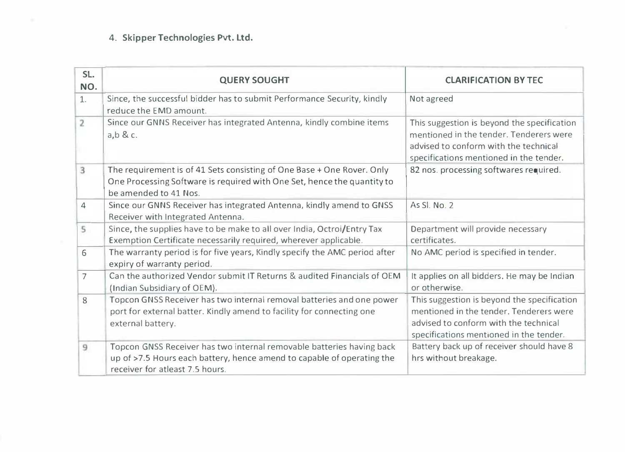## 4. Skipper Technologies Pvt. Ltd.

| SL.<br>NO.     | <b>QUERY SOUGHT</b>                                                                                                                                                                | <b>CLARIFICATION BY TEC</b>                                                                                                                                                |
|----------------|------------------------------------------------------------------------------------------------------------------------------------------------------------------------------------|----------------------------------------------------------------------------------------------------------------------------------------------------------------------------|
| 1.             | Since, the successful bidder has to submit Performance Security, kindly<br>reduce the EMD amount.                                                                                  | Not agreed                                                                                                                                                                 |
| $\overline{2}$ | Since our GNNS Receiver has integrated Antenna, kindly combine items<br>$a, b$ & c.                                                                                                | This suggestion is beyond the specification<br>mentioned in the tender. Tenderers were<br>advised to conform with the technical<br>specifications mentioned in the tender. |
| 3              | The requirement is of 41 Sets consisting of One Base + One Rover. Only<br>One Processing Software is required with One Set, hence the quantity to<br>be amended to 41 Nos.         | 82 nos. processing softwares required.                                                                                                                                     |
| 4              | Since our GNNS Receiver has integrated Antenna, kindly amend to GNSS<br>Receiver with Integrated Antenna.                                                                          | As Si. No. 2                                                                                                                                                               |
| 5              | Since, the supplies have to be make to all over India, Octroi/Entry Tax<br>Exemption Certificate necessarily required, wherever applicable.                                        | Department will provide necessary<br>certificates.                                                                                                                         |
| 6              | The warranty period is for five years, Kindly specify the AMC period after<br>expiry of warranty period.                                                                           | No AMC period is specified in tender.                                                                                                                                      |
| $\overline{7}$ | Can the authorized Vendor submit IT Returns & audited Financials of OEM<br>(Indian Subsidiary of OEM).                                                                             | It applies on all bidders. He may be Indian<br>or otherwise.                                                                                                               |
| 8              | Topcon GNSS Receiver has two internal removal batteries and one power<br>port for external batter. Kindly amend to facility for connecting one<br>external battery.                | This suggestion is beyond the specification<br>mentioned in the tender. Tenderers were<br>advised to conform with the technical<br>specifications mentioned in the tender. |
| 9              | Topcon GNSS Receiver has two internal removable batteries having back<br>up of >7.5 Hours each battery, hence amend to capable of operating the<br>receiver for atleast 7.5 hours. | Battery back up of receiver should have 8<br>hrs without breakage.                                                                                                         |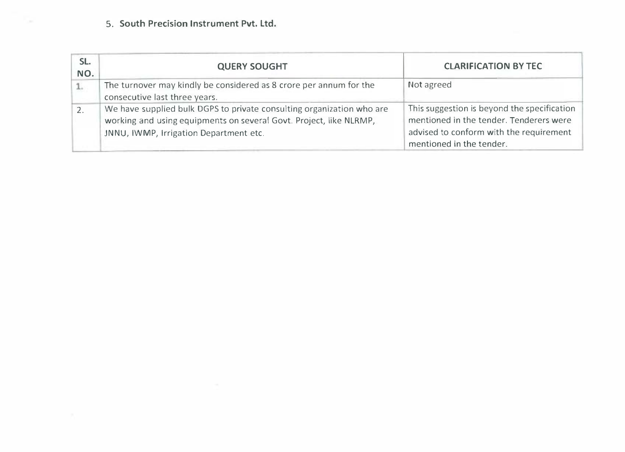### 5. South Precision Instrument Pvt. Ltd.

| SL.<br>NO. | <b>QUERY SOUGHT</b>                                                                                                                                                                   | <b>CLARIFICATION BY TEC</b>                                                                                                                                   |
|------------|---------------------------------------------------------------------------------------------------------------------------------------------------------------------------------------|---------------------------------------------------------------------------------------------------------------------------------------------------------------|
|            | The turnover may kindly be considered as 8 crore per annum for the<br>consecutive last three years.                                                                                   | Not agreed                                                                                                                                                    |
|            | We have supplied bulk DGPS to private consulting organization who are<br>working and using equipments on several Govt. Project, like NLRMP,<br>JNNU, IWMP, Irrigation Department etc. | This suggestion is beyond the specification<br>mentioned in the tender. Tenderers were<br>advised to conform with the requirement<br>mentioned in the tender. |